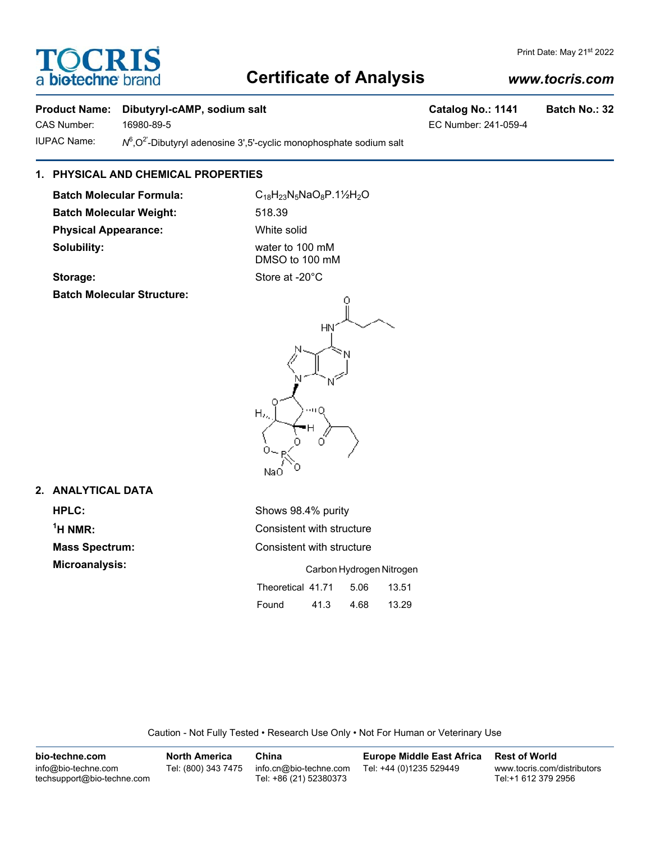## **Certificate of Analysis**

#### **Product Name: Dibutyryl-cAMP, sodium salt Catalog No.: 1141 Batch No.: 32**

CAS Number: 16980-89-5 EC Number: 241-059-4 **IUPAC Name:** 

 $N^6$ , $O^2$ -Dibutyryl adenosine 3',5'-cyclic monophosphate sodium salt

### **1. PHYSICAL AND CHEMICAL PROPERTIES**

Batch Molecular Formula: C<sub>18</sub>H<sub>23</sub>N<sub>5</sub>NaO<sub>8</sub>P.11/<sub>2</sub>H<sub>2</sub>O **Batch Molecular Weight:** 518.39 **Physical Appearance:** White solid **Solubility:** water to 100 mM

DMSO to 100 mM Storage: Storage: Store at -20<sup>°</sup>C

**2. ANALYTICAL DATA**

 $<sup>1</sup>H NMR$ </sup>

**Batch Molecular Structure:**

NaO **HPLC:** Shows 98.4% purity **Consistent with structure Mass Spectrum:** Consistent with structure **Microanalysis:** Carbon Hydrogen Nitrogen Theoretical 41.71 5.06 13.51 Found 41.3 4.68 13.29

Caution - Not Fully Tested • Research Use Only • Not For Human or Veterinary Use

| bio-techne.com                                    | <b>North America</b> | China                                            | <b>Europe Middle East Africa</b> | <b>Rest of World</b>                               |
|---------------------------------------------------|----------------------|--------------------------------------------------|----------------------------------|----------------------------------------------------|
| info@bio-techne.com<br>techsupport@bio-techne.com | Tel: (800) 343 7475  | info.cn@bio-techne.com<br>Tel: +86 (21) 52380373 | Tel: +44 (0)1235 529449          | www.tocris.com/distributors<br>Tel:+1 612 379 2956 |

#### *www.tocris.com*



## OCRI a biotechne